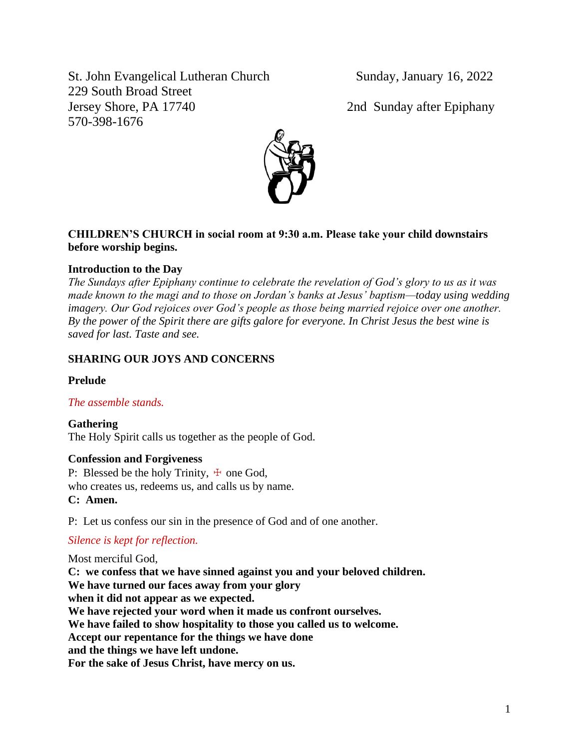St. John Evangelical Lutheran Church Sunday, January 16, 2022 229 South Broad Street Jersey Shore, PA 17740 2nd Sunday after Epiphany 570-398-1676



# **CHILDREN'S CHURCH in social room at 9:30 a.m. Please take your child downstairs before worship begins.**

# **Introduction to the Day**

*The Sundays after Epiphany continue to celebrate the revelation of God's glory to us as it was made known to the magi and to those on Jordan's banks at Jesus' baptism—today using wedding imagery. Our God rejoices over God's people as those being married rejoice over one another. By the power of the Spirit there are gifts galore for everyone. In Christ Jesus the best wine is saved for last. Taste and see.*

# **SHARING OUR JOYS AND CONCERNS**

## **Prelude**

## *The assemble stands.*

**Gathering** The Holy Spirit calls us together as the people of God.

## **Confession and Forgiveness**

P: Blessed be the holy Trinity,  $\pm$  one God, who creates us, redeems us, and calls us by name. **C: Amen.**

P: Let us confess our sin in the presence of God and of one another.

# *Silence is kept for reflection.*

Most merciful God, **C: we confess that we have sinned against you and your beloved children. We have turned our faces away from your glory when it did not appear as we expected. We have rejected your word when it made us confront ourselves. We have failed to show hospitality to those you called us to welcome. Accept our repentance for the things we have done and the things we have left undone. For the sake of Jesus Christ, have mercy on us.**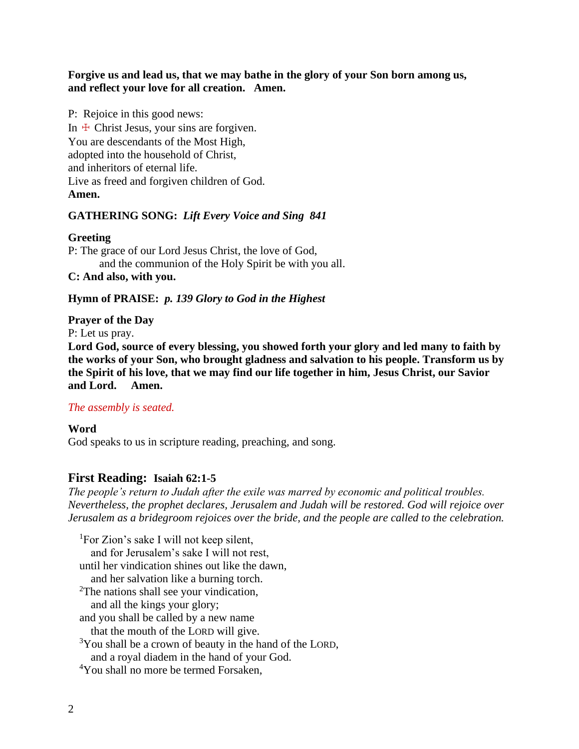**Forgive us and lead us, that we may bathe in the glory of your Son born among us, and reflect your love for all creation. Amen.**

P: Rejoice in this good news: In  $\pm$  Christ Jesus, your sins are forgiven. You are descendants of the Most High, adopted into the household of Christ, and inheritors of eternal life. Live as freed and forgiven children of God. **Amen.**

## **GATHERING SONG:** *Lift Every Voice and Sing 841*

### **Greeting**

P: The grace of our Lord Jesus Christ, the love of God, and the communion of the Holy Spirit be with you all. **C: And also, with you.**

## **Hymn of PRAISE:** *p. 139 Glory to God in the Highest*

## **Prayer of the Day**

P: Let us pray.

**Lord God, source of every blessing, you showed forth your glory and led many to faith by the works of your Son, who brought gladness and salvation to his people. Transform us by the Spirit of his love, that we may find our life together in him, Jesus Christ, our Savior and Lord. Amen.**

## *The assembly is seated.*

## **Word**

God speaks to us in scripture reading, preaching, and song.

## **First Reading: Isaiah 62:1-5**

*The people's return to Judah after the exile was marred by economic and political troubles. Nevertheless, the prophet declares, Jerusalem and Judah will be restored. God will rejoice over Jerusalem as a bridegroom rejoices over the bride, and the people are called to the celebration.*

<sup>1</sup>For Zion's sake I will not keep silent, and for Jerusalem's sake I will not rest, until her vindication shines out like the dawn, and her salvation like a burning torch. <sup>2</sup>The nations shall see your vindication, and all the kings your glory; and you shall be called by a new name that the mouth of the LORD will give.  $3$ You shall be a crown of beauty in the hand of the LORD, and a royal diadem in the hand of your God.

<sup>4</sup>You shall no more be termed Forsaken.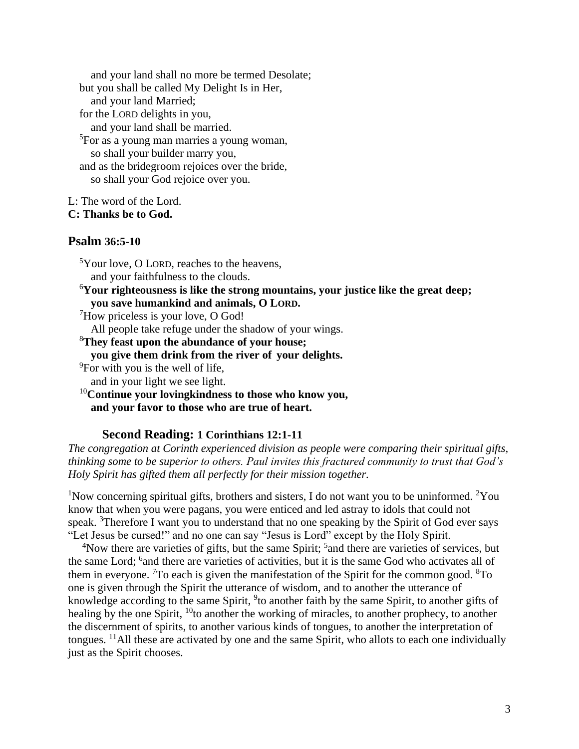and your land shall no more be termed Desolate; but you shall be called My Delight Is in Her, and your land Married; for the LORD delights in you, and your land shall be married. <sup>5</sup>For as a young man marries a young woman, so shall your builder marry you, and as the bridegroom rejoices over the bride, so shall your God rejoice over you.

L: The word of the Lord.

**C: Thanks be to God.**

## **Psalm 36:5-10**

<sup>5</sup>Your love, O LORD, reaches to the heavens, and your faithfulness to the clouds. <sup>6</sup>**Your righteousness is like the strong mountains, your justice like the great deep; you save humankind and animals, O LORD.** <sup>7</sup>How priceless is your love, O God! All people take refuge under the shadow of your wings. <sup>8</sup>**They feast upon the abundance of your house; you give them drink from the river of your delights.** <sup>9</sup>For with you is the well of life, and in your light we see light. <sup>10</sup>**Continue your lovingkindness to those who know you,**

**and your favor to those who are true of heart.**

## **Second Reading: 1 Corinthians 12:1-11**

*The congregation at Corinth experienced division as people were comparing their spiritual gifts, thinking some to be superior to others. Paul invites this fractured community to trust that God's Holy Spirit has gifted them all perfectly for their mission together.*

<sup>1</sup>Now concerning spiritual gifts, brothers and sisters, I do not want you to be uninformed. <sup>2</sup>You know that when you were pagans, you were enticed and led astray to idols that could not speak. <sup>3</sup>Therefore I want you to understand that no one speaking by the Spirit of God ever says "Let Jesus be cursed!" and no one can say "Jesus is Lord" except by the Holy Spirit.

<sup>4</sup>Now there are varieties of gifts, but the same Spirit; <sup>5</sup> and there are varieties of services, but the same Lord; <sup>6</sup> and there are varieties of activities, but it is the same God who activates all of them in everyone. <sup>7</sup>To each is given the manifestation of the Spirit for the common good.  ${}^{8}$ To one is given through the Spirit the utterance of wisdom, and to another the utterance of knowledge according to the same Spirit, <sup>9</sup>to another faith by the same Spirit, to another gifts of healing by the one Spirit,  $^{10}$  to another the working of miracles, to another prophecy, to another the discernment of spirits, to another various kinds of tongues, to another the interpretation of tongues. <sup>11</sup>All these are activated by one and the same Spirit, who allots to each one individually just as the Spirit chooses.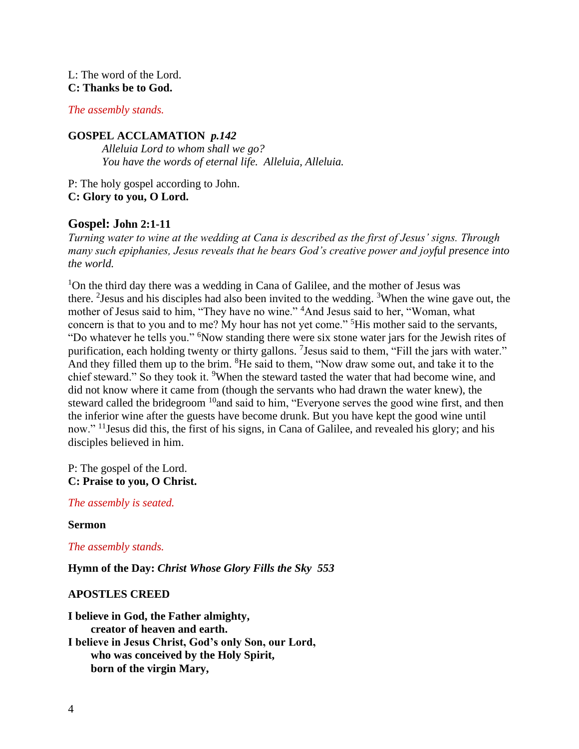## L: The word of the Lord. **C: Thanks be to God.**

## *The assembly stands.*

## **GOSPEL ACCLAMATION** *p.142*

*Alleluia Lord to whom shall we go? You have the words of eternal life. Alleluia, Alleluia.*

P: The holy gospel according to John. **C: Glory to you, O Lord.**

# **Gospel: John 2:1-11**

*Turning water to wine at the wedding at Cana is described as the first of Jesus' signs. Through many such epiphanies, Jesus reveals that he bears God's creative power and joyful presence into the world.*

<sup>1</sup>On the third day there was a wedding in Cana of Galilee, and the mother of Jesus was there. <sup>2</sup> Jesus and his disciples had also been invited to the wedding. <sup>3</sup> When the wine gave out, the mother of Jesus said to him, "They have no wine." <sup>4</sup>And Jesus said to her, "Woman, what concern is that to you and to me? My hour has not yet come." <sup>5</sup>His mother said to the servants, "Do whatever he tells you." <sup>6</sup>Now standing there were six stone water jars for the Jewish rites of purification, each holding twenty or thirty gallons. <sup>7</sup> Jesus said to them, "Fill the jars with water." And they filled them up to the brim. <sup>8</sup>He said to them, "Now draw some out, and take it to the chief steward." So they took it. <sup>9</sup>When the steward tasted the water that had become wine, and did not know where it came from (though the servants who had drawn the water knew), the steward called the bridegroom <sup>10</sup>and said to him, "Everyone serves the good wine first, and then the inferior wine after the guests have become drunk. But you have kept the good wine until now." <sup>11</sup> Jesus did this, the first of his signs, in Cana of Galilee, and revealed his glory; and his disciples believed in him.

P: The gospel of the Lord. **C: Praise to you, O Christ.**

*The assembly is seated.*

### **Sermon**

*The assembly stands.* 

**Hymn of the Day:** *Christ Whose Glory Fills the Sky 553*

### **APOSTLES CREED**

**I believe in God, the Father almighty, creator of heaven and earth. I believe in Jesus Christ, God's only Son, our Lord, who was conceived by the Holy Spirit, born of the virgin Mary,**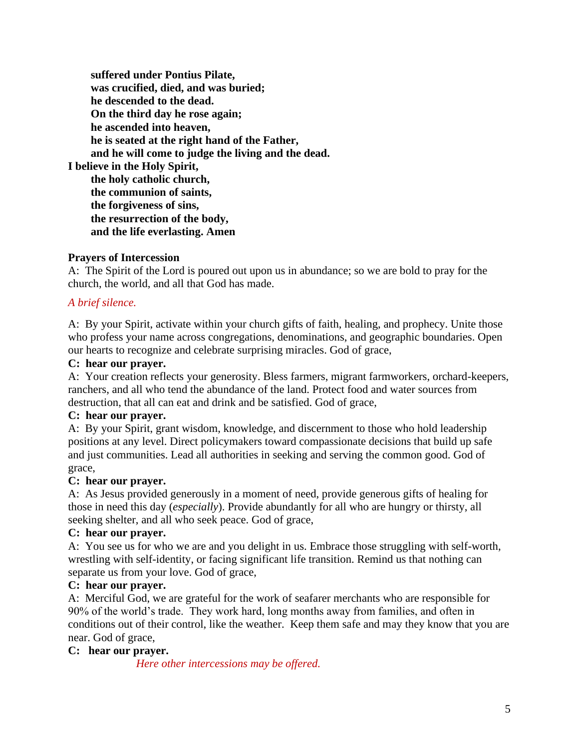**suffered under Pontius Pilate, was crucified, died, and was buried; he descended to the dead. On the third day he rose again; he ascended into heaven, he is seated at the right hand of the Father, and he will come to judge the living and the dead. I believe in the Holy Spirit, the holy catholic church, the communion of saints, the forgiveness of sins, the resurrection of the body, and the life everlasting. Amen**

## **Prayers of Intercession**

A: The Spirit of the Lord is poured out upon us in abundance; so we are bold to pray for the church, the world, and all that God has made.

## *A brief silence.*

A: By your Spirit, activate within your church gifts of faith, healing, and prophecy. Unite those who profess your name across congregations, denominations, and geographic boundaries. Open our hearts to recognize and celebrate surprising miracles. God of grace,

### **C: hear our prayer.**

A: Your creation reflects your generosity. Bless farmers, migrant farmworkers, orchard-keepers, ranchers, and all who tend the abundance of the land. Protect food and water sources from destruction, that all can eat and drink and be satisfied. God of grace,

### **C: hear our prayer.**

A: By your Spirit, grant wisdom, knowledge, and discernment to those who hold leadership positions at any level. Direct policymakers toward compassionate decisions that build up safe and just communities. Lead all authorities in seeking and serving the common good. God of grace,

#### **C: hear our prayer.**

A: As Jesus provided generously in a moment of need, provide generous gifts of healing for those in need this day (*especially*). Provide abundantly for all who are hungry or thirsty, all seeking shelter, and all who seek peace. God of grace,

### **C: hear our prayer.**

A: You see us for who we are and you delight in us. Embrace those struggling with self-worth, wrestling with self-identity, or facing significant life transition. Remind us that nothing can separate us from your love. God of grace,

### **C: hear our prayer.**

A: Merciful God, we are grateful for the work of seafarer merchants who are responsible for 90% of the world's trade. They work hard, long months away from families, and often in conditions out of their control, like the weather. Keep them safe and may they know that you are near. God of grace,

## **C: hear our prayer.**

*Here other intercessions may be offered.*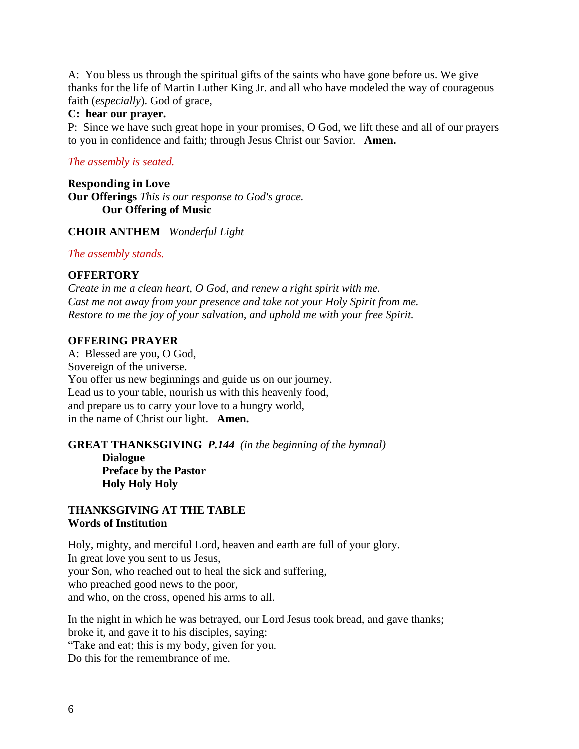A: You bless us through the spiritual gifts of the saints who have gone before us. We give thanks for the life of Martin Luther King Jr. and all who have modeled the way of courageous faith (*especially*). God of grace,

### **C: hear our prayer.**

P: Since we have such great hope in your promises, O God, we lift these and all of our prayers to you in confidence and faith; through Jesus Christ our Savior. **Amen.**

## *The assembly is seated.*

**Responding in Love Our Offerings** *This is our response to God's grace.* **Our Offering of Music** 

## **CHOIR ANTHEM** *Wonderful Light*

### *The assembly stands.*

## **OFFERTORY**

*Create in me a clean heart, O God, and renew a right spirit with me. Cast me not away from your presence and take not your Holy Spirit from me. Restore to me the joy of your salvation, and uphold me with your free Spirit.*

### **OFFERING PRAYER**

A: Blessed are you, O God, Sovereign of the universe. You offer us new beginnings and guide us on our journey. Lead us to your table, nourish us with this heavenly food, and prepare us to carry your love to a hungry world, in the name of Christ our light. **Amen.**

# **GREAT THANKSGIVING** *P.144 (in the beginning of the hymnal)*

**Dialogue Preface by the Pastor Holy Holy Holy**

### **THANKSGIVING AT THE TABLE Words of Institution**

Holy, mighty, and merciful Lord, heaven and earth are full of your glory. In great love you sent to us Jesus, your Son, who reached out to heal the sick and suffering, who preached good news to the poor, and who, on the cross, opened his arms to all.

In the night in which he was betrayed, our Lord Jesus took bread, and gave thanks; broke it, and gave it to his disciples, saying: "Take and eat; this is my body, given for you. Do this for the remembrance of me.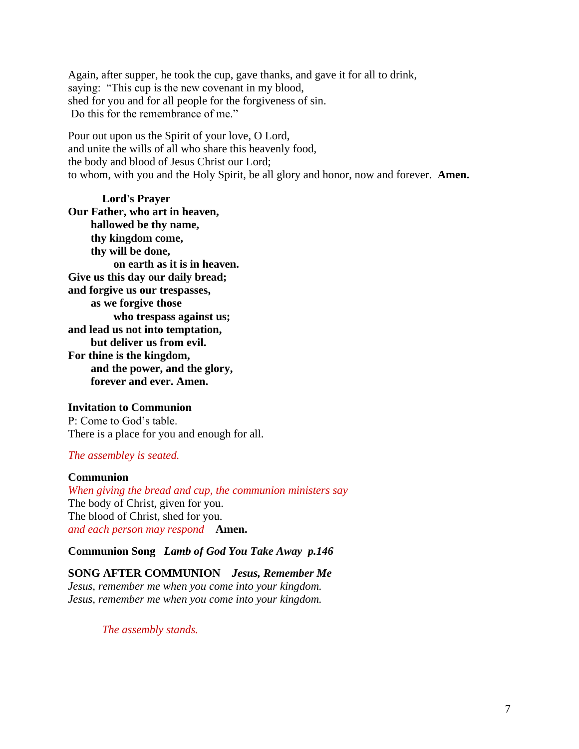Again, after supper, he took the cup, gave thanks, and gave it for all to drink, saying: "This cup is the new covenant in my blood, shed for you and for all people for the forgiveness of sin. Do this for the remembrance of me."

Pour out upon us the Spirit of your love, O Lord, and unite the wills of all who share this heavenly food, the body and blood of Jesus Christ our Lord; to whom, with you and the Holy Spirit, be all glory and honor, now and forever. **Amen.**

**Lord's Prayer Our Father, who art in heaven, hallowed be thy name, thy kingdom come, thy will be done, on earth as it is in heaven. Give us this day our daily bread; and forgive us our trespasses, as we forgive those who trespass against us; and lead us not into temptation, but deliver us from evil. For thine is the kingdom, and the power, and the glory, forever and ever. Amen.**

#### **Invitation to Communion**

P: Come to God's table. There is a place for you and enough for all.

#### *The assembley is seated.*

#### **Communion**

*When giving the bread and cup, the communion ministers say* The body of Christ, given for you. The blood of Christ, shed for you. *and each person may respond* **Amen.**

#### **Communion Song** *Lamb of God You Take Away p.146*

## **SONG AFTER COMMUNION** *Jesus, Remember Me*

*Jesus, remember me when you come into your kingdom. Jesus, remember me when you come into your kingdom.*

*The assembly stands.*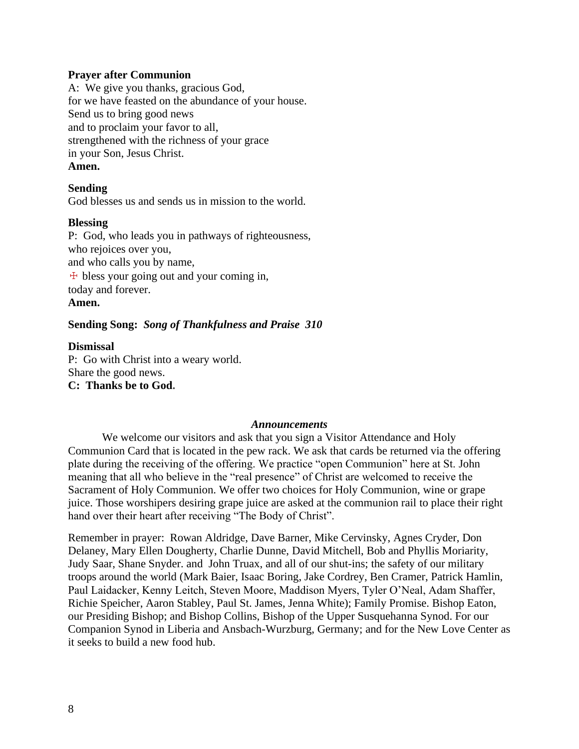#### **Prayer after Communion**

A: We give you thanks, gracious God, for we have feasted on the abundance of your house. Send us to bring good news and to proclaim your favor to all, strengthened with the richness of your grace in your Son, Jesus Christ. **Amen.**

### **Sending**

God blesses us and sends us in mission to the world.

#### **Blessing**

P: God, who leads you in pathways of righteousness, who rejoices over you, and who calls you by name,  $\pm$  bless your going out and your coming in, today and forever. **Amen.**

### **Sending Song:** *Song of Thankfulness and Praise 310*

### **Dismissal**

P: Go with Christ into a weary world. Share the good news. **C: Thanks be to God.**

#### *Announcements*

We welcome our visitors and ask that you sign a Visitor Attendance and Holy Communion Card that is located in the pew rack. We ask that cards be returned via the offering plate during the receiving of the offering. We practice "open Communion" here at St. John meaning that all who believe in the "real presence" of Christ are welcomed to receive the Sacrament of Holy Communion. We offer two choices for Holy Communion, wine or grape juice. Those worshipers desiring grape juice are asked at the communion rail to place their right hand over their heart after receiving "The Body of Christ".

Remember in prayer: Rowan Aldridge, Dave Barner, Mike Cervinsky, Agnes Cryder, Don Delaney, Mary Ellen Dougherty, Charlie Dunne, David Mitchell, Bob and Phyllis Moriarity, Judy Saar, Shane Snyder. and John Truax, and all of our shut-ins; the safety of our military troops around the world (Mark Baier, Isaac Boring, Jake Cordrey, Ben Cramer, Patrick Hamlin, Paul Laidacker, Kenny Leitch, Steven Moore, Maddison Myers, Tyler O'Neal, Adam Shaffer, Richie Speicher, Aaron Stabley, Paul St. James, Jenna White); Family Promise. Bishop Eaton, our Presiding Bishop; and Bishop Collins, Bishop of the Upper Susquehanna Synod. For our Companion Synod in Liberia and Ansbach-Wurzburg, Germany; and for the New Love Center as it seeks to build a new food hub.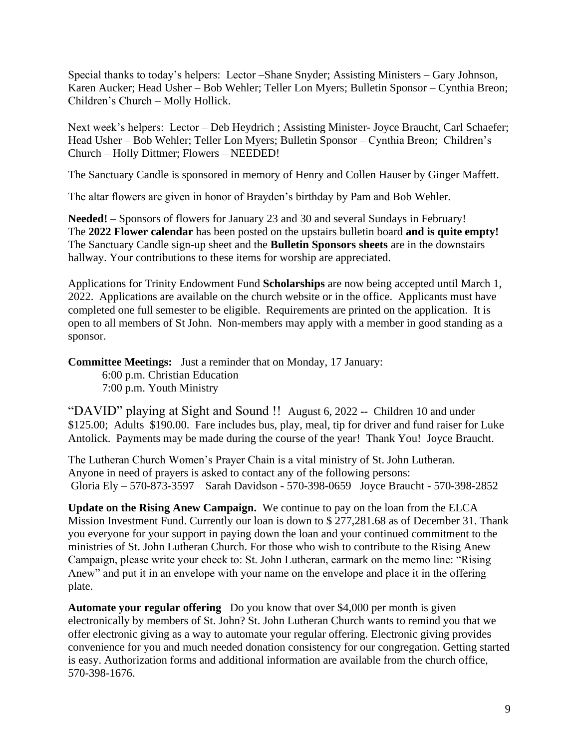Special thanks to today's helpers: Lector –Shane Snyder; Assisting Ministers – Gary Johnson, Karen Aucker; Head Usher – Bob Wehler; Teller Lon Myers; Bulletin Sponsor – Cynthia Breon; Children's Church – Molly Hollick.

Next week's helpers: Lector – Deb Heydrich ; Assisting Minister- Joyce Braucht, Carl Schaefer; Head Usher – Bob Wehler; Teller Lon Myers; Bulletin Sponsor – Cynthia Breon; Children's Church – Holly Dittmer; Flowers – NEEDED!

The Sanctuary Candle is sponsored in memory of Henry and Collen Hauser by Ginger Maffett.

The altar flowers are given in honor of Brayden's birthday by Pam and Bob Wehler.

**Needed!** – Sponsors of flowers for January 23 and 30 and several Sundays in February! The **2022 Flower calendar** has been posted on the upstairs bulletin board **and is quite empty!**  The Sanctuary Candle sign-up sheet and the **Bulletin Sponsors sheets** are in the downstairs hallway. Your contributions to these items for worship are appreciated.

Applications for Trinity Endowment Fund **Scholarships** are now being accepted until March 1, 2022. Applications are available on the church website or in the office. Applicants must have completed one full semester to be eligible. Requirements are printed on the application. It is open to all members of St John. Non-members may apply with a member in good standing as a sponsor.

**Committee Meetings:** Just a reminder that on Monday, 17 January: 6:00 p.m. Christian Education 7:00 p.m. Youth Ministry

"DAVID" playing at Sight and Sound !! August 6, 2022 **--** Children 10 and under \$125.00; Adults \$190.00. Fare includes bus, play, meal, tip for driver and fund raiser for Luke Antolick. Payments may be made during the course of the year! Thank You! Joyce Braucht.

The Lutheran Church Women's Prayer Chain is a vital ministry of St. John Lutheran. Anyone in need of prayers is asked to contact any of the following persons: Gloria Ely – 570-873-3597 Sarah Davidson - 570-398-0659 Joyce Braucht - 570-398-2852

**Update on the Rising Anew Campaign.** We continue to pay on the loan from the ELCA Mission Investment Fund. Currently our loan is down to \$ 277,281.68 as of December 31. Thank you everyone for your support in paying down the loan and your continued commitment to the ministries of St. John Lutheran Church. For those who wish to contribute to the Rising Anew Campaign, please write your check to: St. John Lutheran, earmark on the memo line: "Rising Anew" and put it in an envelope with your name on the envelope and place it in the offering plate.

**Automate your regular offering** Do you know that over \$4,000 per month is given electronically by members of St. John? St. John Lutheran Church wants to remind you that we offer electronic giving as a way to automate your regular offering. Electronic giving provides convenience for you and much needed donation consistency for our congregation. Getting started is easy. Authorization forms and additional information are available from the church office, 570-398-1676.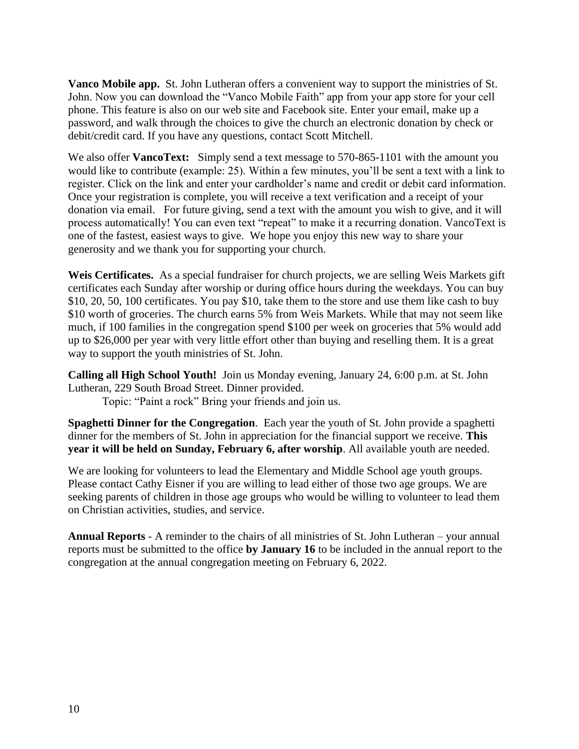**Vanco Mobile app.** St. John Lutheran offers a convenient way to support the ministries of St. John. Now you can download the "Vanco Mobile Faith" app from your app store for your cell phone. This feature is also on our web site and Facebook site. Enter your email, make up a password, and walk through the choices to give the church an electronic donation by check or debit/credit card. If you have any questions, contact Scott Mitchell.

We also offer **VancoText:** Simply send a text message to 570-865-1101 with the amount you would like to contribute (example: 25). Within a few minutes, you'll be sent a text with a link to register. Click on the link and enter your cardholder's name and credit or debit card information. Once your registration is complete, you will receive a text verification and a receipt of your donation via email. For future giving, send a text with the amount you wish to give, and it will process automatically! You can even text "repeat" to make it a recurring donation. VancoText is one of the fastest, easiest ways to give. We hope you enjoy this new way to share your generosity and we thank you for supporting your church.

**Weis Certificates.** As a special fundraiser for church projects, we are selling Weis Markets gift certificates each Sunday after worship or during office hours during the weekdays. You can buy \$10, 20, 50, 100 certificates. You pay \$10, take them to the store and use them like cash to buy \$10 worth of groceries. The church earns 5% from Weis Markets. While that may not seem like much, if 100 families in the congregation spend \$100 per week on groceries that 5% would add up to \$26,000 per year with very little effort other than buying and reselling them. It is a great way to support the youth ministries of St. John.

**Calling all High School Youth!** Join us Monday evening, January 24, 6:00 p.m. at St. John Lutheran, 229 South Broad Street. Dinner provided.

Topic: "Paint a rock" Bring your friends and join us.

**Spaghetti Dinner for the Congregation**. Each year the youth of St. John provide a spaghetti dinner for the members of St. John in appreciation for the financial support we receive. **This year it will be held on Sunday, February 6, after worship**. All available youth are needed.

We are looking for volunteers to lead the Elementary and Middle School age youth groups. Please contact Cathy Eisner if you are willing to lead either of those two age groups. We are seeking parents of children in those age groups who would be willing to volunteer to lead them on Christian activities, studies, and service.

**Annual Reports** - A reminder to the chairs of all ministries of St. John Lutheran – your annual reports must be submitted to the office **by January 16** to be included in the annual report to the congregation at the annual congregation meeting on February 6, 2022.